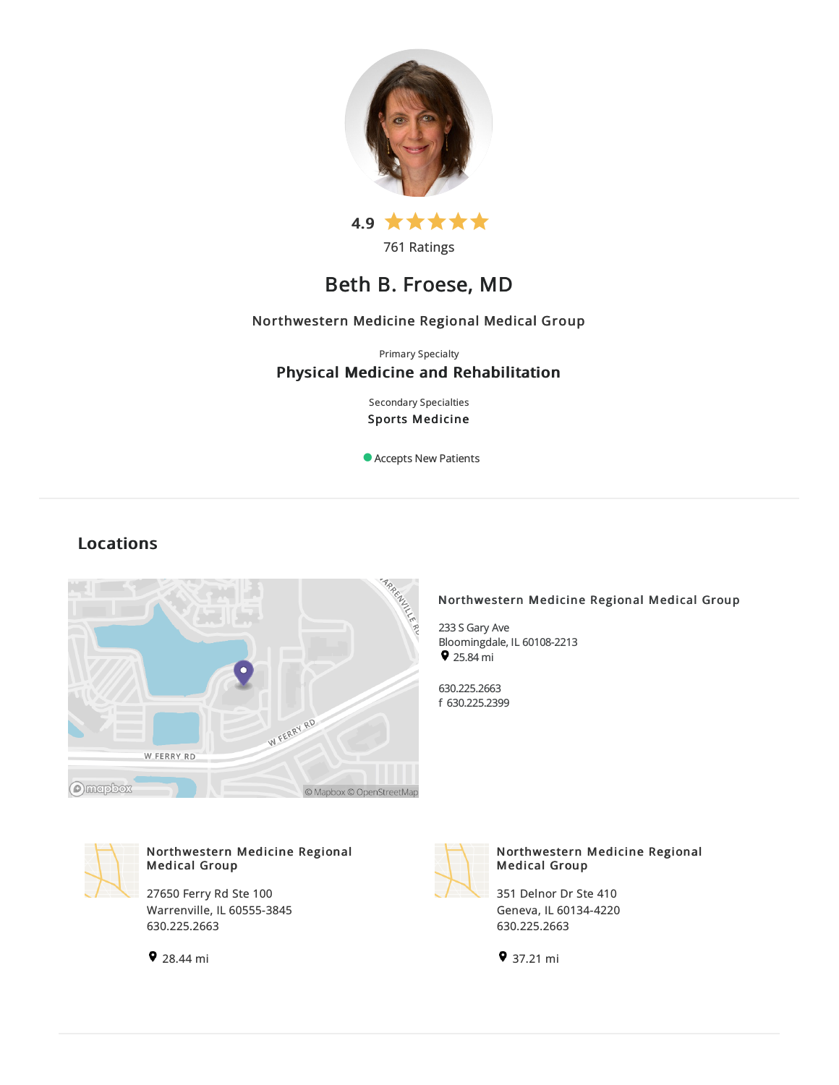



# Beth B. Froese, MD

# Northwestern Medicine Regional Medical Group

Primary Specialty

# Physical Medicine and Rehabilitation

Secondary Specialties Sports Medicine

Accepts New Patients

# Locations



# Northwestern Medicine Regional Medical Group

233S Gary Ave Bloomingdale, IL60108-2213  $925.84 \text{ mi}$ 

630.225.2663 f 630.225.2399



# Northwestern Medicine Regional Medical Group

27650 Ferry Rd Ste 100 Warrenville, IL 60555-3845 630.225.2663





### Northwestern Medicine Regional Medical Group

351 Delnor Dr Ste 410 Geneva, IL60134-4220 630.225.2663

37.21 mi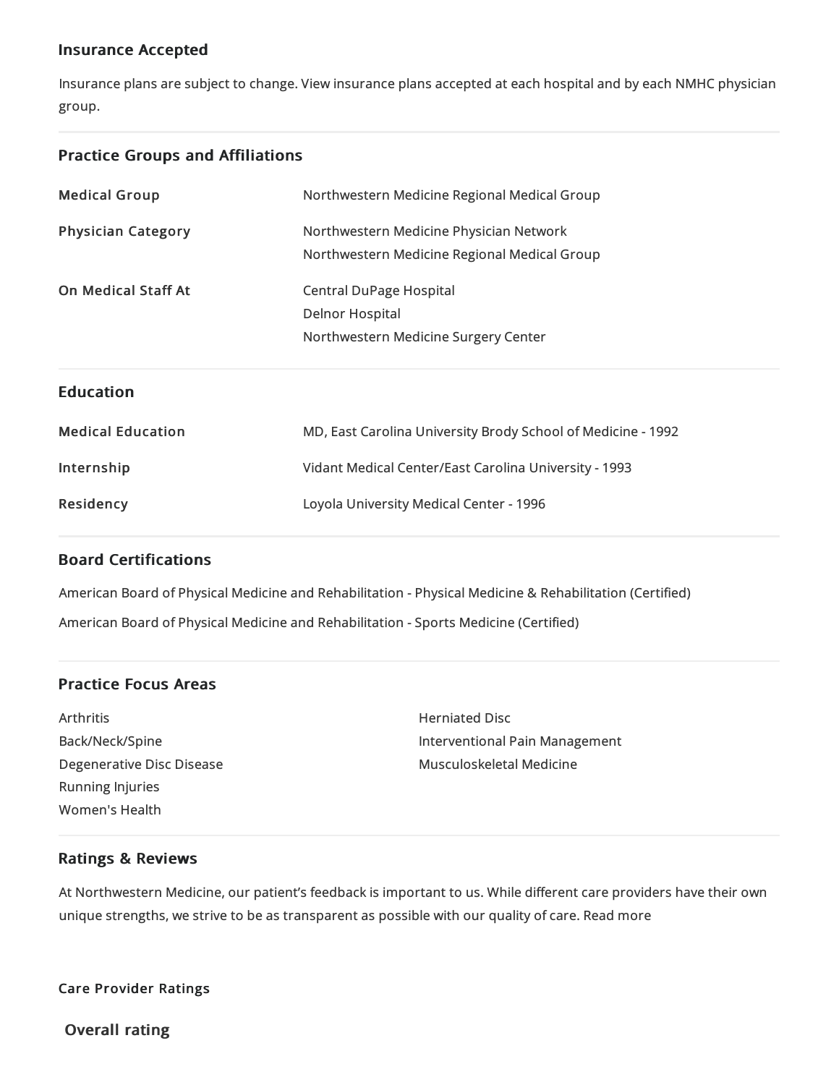# Insurance Accepted

Insurance plans are subject to change. View [insurance](https://www.nm.org/patients-and-visitors/billing-and-insurance/insurance-information/accepted-insurance-plans) plans accepted at each hospital and by each NMHC physician group.

# Practice Groups and Affiliations

| <b>Medical Group</b>       | Northwestern Medicine Regional Medical Group                 |
|----------------------------|--------------------------------------------------------------|
| <b>Physician Category</b>  | Northwestern Medicine Physician Network                      |
|                            | Northwestern Medicine Regional Medical Group                 |
| <b>On Medical Staff At</b> | <b>Central DuPage Hospital</b>                               |
|                            | <b>Delnor Hospital</b>                                       |
|                            | Northwestern Medicine Surgery Center                         |
|                            |                                                              |
| <b>Education</b>           |                                                              |
| <b>Medical Education</b>   | MD, East Carolina University Brody School of Medicine - 1992 |
| Internship                 | Vidant Medical Center/East Carolina University - 1993        |

# Board Certifications

American Board of Physical Medicine and Rehabilitation - Physical Medicine & Rehabilitation (Certified) American Board of Physical Medicine and Rehabilitation - Sports Medicine (Certified)

# Practice Focus Areas

Arthritis Back/Neck/Spine Degenerative Disc Disease Running Injuries Women's Health

Herniated Disc Interventional Pain Management Musculoskeletal Medicine

# Ratings & Reviews

At Northwestern Medicine, our patient's feedback is important to us. While different care providers have their own unique strengths, we strive to be as transparent as possible with our quality of care. Read more

Care Provider Ratings

Overall rating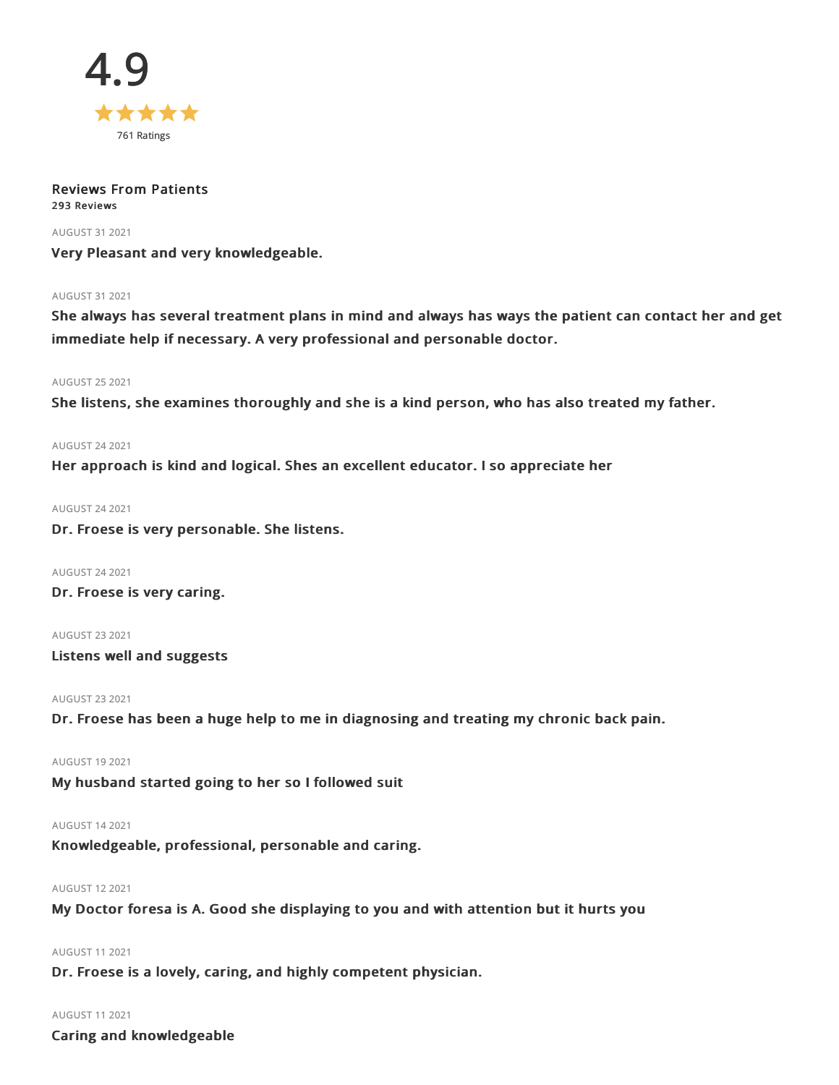

### Reviews From Patients 293 Reviews

AUGUST 312021

Very Pleasant and very knowledgeable.

### AUGUST 312021

She always has several treatment plans in mind and always has ways the patient can contact her and get immediate help if necessary. A very professional and personable doctor.

### AUGUST 252021

She listens, she examines thoroughly and she is a kind person, who has also treated my father.

### AUGUST 242021

Her approach is kind and logical. Shes an excellent educator. I so appreciate her

### AUGUST 242021

Dr. Froese is very personable. She listens.

AUGUST 242021 Dr. Froese is very caring.

AUGUST 232021 Listens well and suggests

### AUGUST 232021

Dr. Froese has been a huge help to me in diagnosing and treating my chronic back pain.

### AUGUST 192021

My husband started going to her so I followed suit

### AUGUST 142021

Knowledgeable, professional, personable and caring.

### AUGUST 122021

My Doctor foresa is A. Good she displaying to you and with attention but it hurts you

# AUGUST 112021

Dr. Froese is a lovely, caring, and highly competent physician.

### AUGUST 112021

Caring and knowledgeable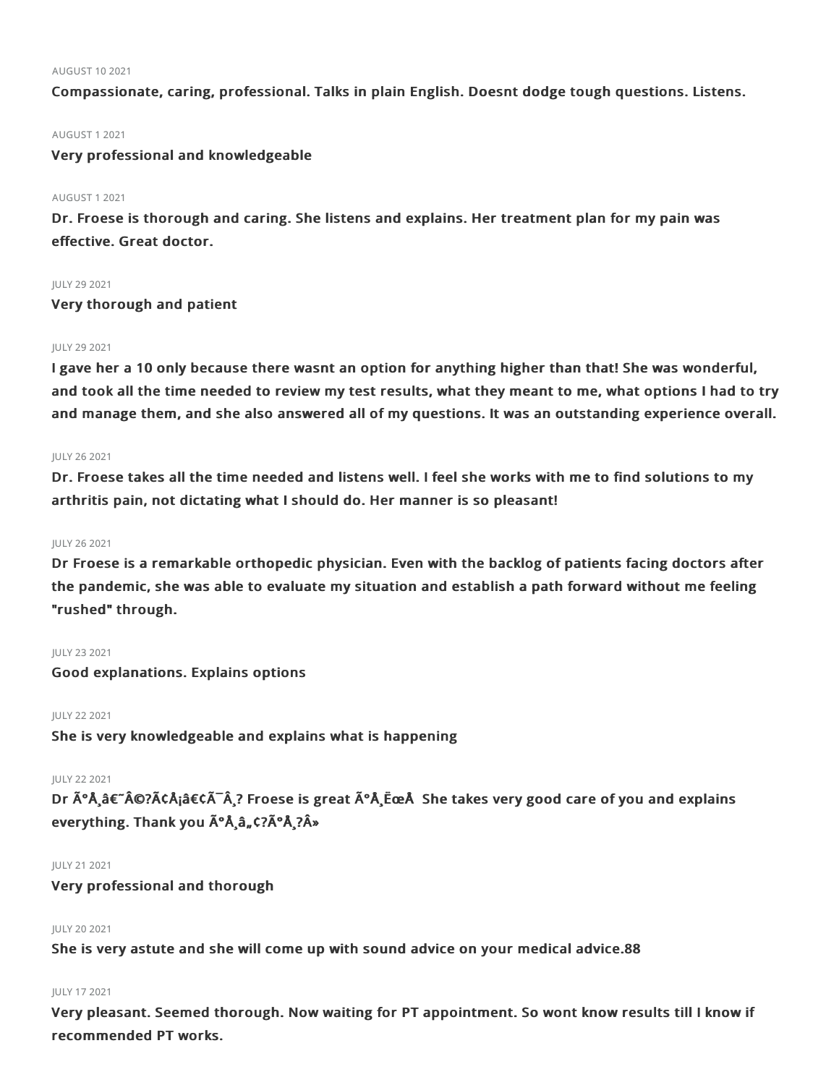#### AUGUST 102021

Compassionate, caring, professional. Talks in plain English. Doesnt dodge tough questions. Listens.

### AUGUST 12021

### Very professional and knowledgeable

### AUGUST 12021

Dr. Froese is thorough and caring. She listens and explains. Her treatment plan for my pain was effective. Great doctor.

### **IULY 29 2021**

Very thorough and patient

### JULY 29 2021

I gave her a 10 only because there wasnt an option for anything higher than that! She was wonderful, and took all the time needed to review my test results, what they meant to me, what options I had to try and manage them, and she also answered all of my questions. It was an outstanding experience overall.

### JULY 262021

Dr. Froese takes all the time needed and listens well. I feel she works with me to find solutions to my arthritis pain, not dictating what I should do. Her manner is so pleasant!

### JULY 262021

Dr Froese is a remarkable orthopedic physician. Even with the backlog of patients facing doctors after the pandemic, she was able to evaluate my situation and establish a path forward without me feeling "rushed" through.

### JULY 232021

Good explanations. Explains options

### JULY 222021

She is very knowledgeable and explains what is happening

### JULY 222021

Dr  $\tilde{A}^{\circ}A$ ,  $\hat{A}\in\tilde{A}$   $\tilde{C}$ ,  $\tilde{A}$   $\tilde{A}$   $\tilde{C}$  Froese is great  $\tilde{A}^{\circ}A$ ,  $\tilde{E}$  and takes very good care of you and explains everything. Thank you  $\tilde{A}^{\circ}$ Å, â, ¢?ðÅ,?»

### JULY 212021

Very professional and thorough

### JULY 20 2021

She is very astute and she will come up with sound advice on your medical advice.88

### JULY 172021

Very pleasant. Seemed thorough. Now waiting for PT appointment. So wont know results till I know if recommended PT works.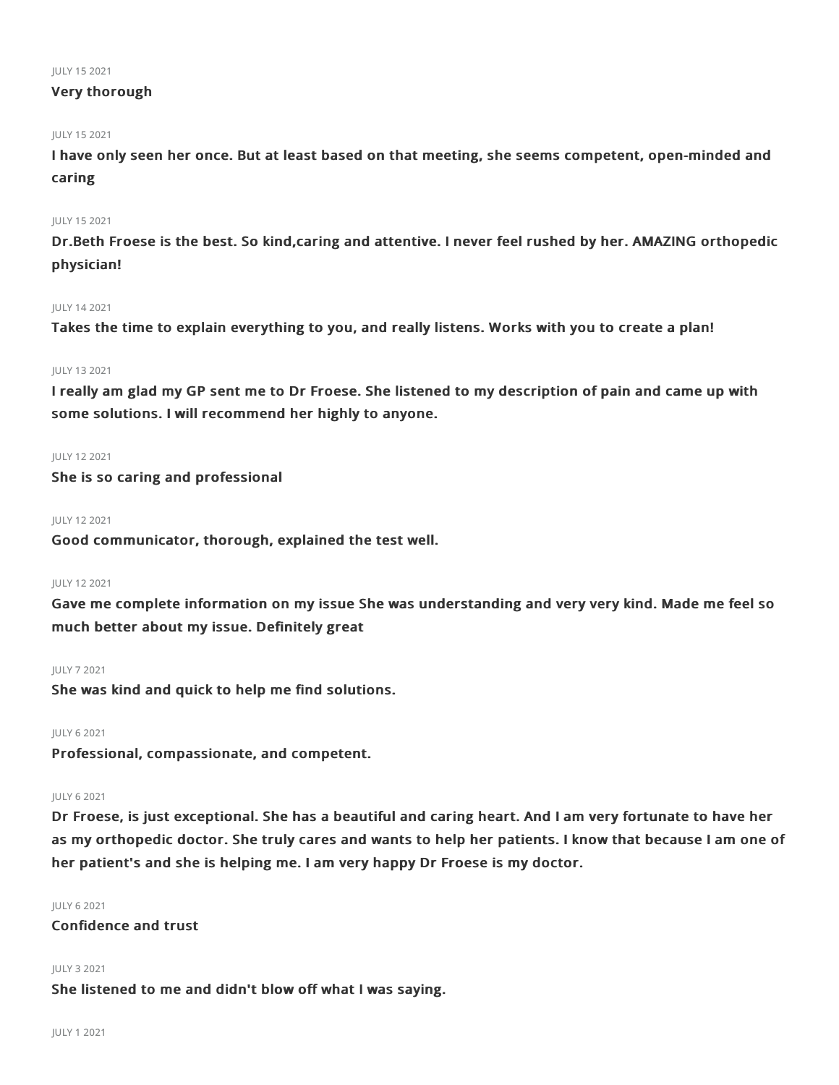#### JULY 152021

### Very thorough

### JULY 152021

I have only seen her once. But at least based on that meeting, she seems competent, open-minded and caring

### JULY 152021

Dr.Beth Froese is the best. So kind,caring and attentive. I never feel rushed by her. AMAZING orthopedic physician!

### JULY 142021

Takes the time to explain everything to you, and really listens. Works with you to create a plan!

### JULY 132021

I really am glad my GP sent me to Dr Froese. She listened to my description of pain and came up with some solutions. I will recommend her highly to anyone.

### JULY 122021

She is so caring and professional

### JULY 122021

Good communicator, thorough, explained the test well.

### JULY 122021

Gave me complete information on my issue She was understanding and very very kind. Made me feel so much better about my issue. Definitely great

### JULY 72021

She was kind and quick to help me find solutions.

JULY 62021

Professional, compassionate, and competent.

### JULY 62021

Dr Froese, is just exceptional. She has a beautiful and caring heart. And I am very fortunate to have her as my orthopedic doctor. She truly cares and wants to help her patients. I know that because I am one of her patient's and she is helping me. I am very happy Dr Froese is my doctor.

### JULY 62021

Confidence and trust

### JULY 32021

She listened to me and didn't blow off what I was saying.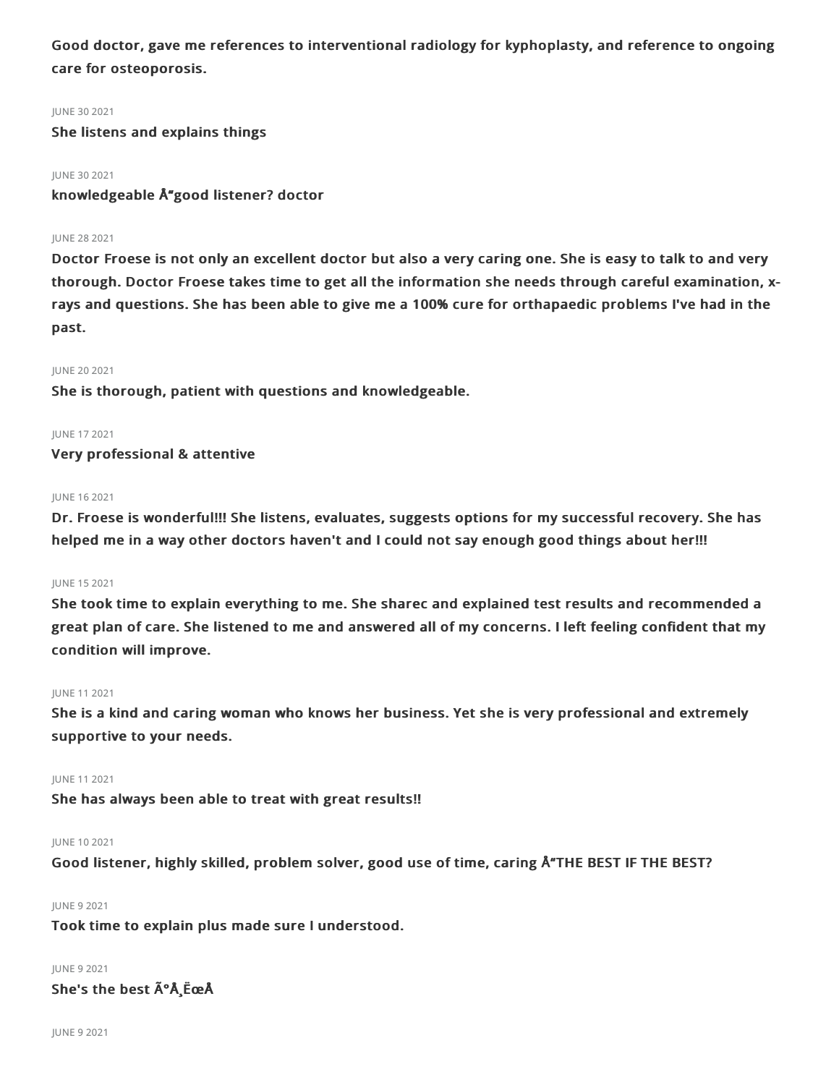Good doctor, gave me references to interventional radiology for kyphoplasty, and reference to ongoing care for osteoporosis.

### JUNE 302021

She listens and explains things

### JUNE 302021

knowledgeable Å"good listener? doctor

### JUNE 282021

Doctor Froese is not only an excellent doctor but also a very caring one. She is easy to talk to and very thorough. Doctor Froese takes time to get all the information she needs through careful examination, xrays and questions. She has been able to give me a 100% cure for orthapaedic problems I've had in the past.

### JUNE 202021

She is thorough, patient with questions and knowledgeable.

### JUNE 172021 Very professional & attentive

### JUNE 162021

Dr. Froese is wonderful!!! She listens, evaluates, suggests options for my successful recovery. She has helped me in a way other doctors haven't and I could not say enough good things about her!!!

### JUNE 152021

She took time to explain everything to me. She sharec and explained test results and recommended a great plan of care. She listened to me and answered all of my concerns. I left feeling confident that my condition will improve.

### JUNE 112021

She is a kind and caring woman who knows her business. Yet she is very professional and extremely supportive to your needs.

### JUNE 112021

She has always been able to treat with great results!!

### JUNE 102021

Good listener, highly skilled, problem solver, good use of time, caring Å THE BEST IF THE BEST?

### JUNE 92021

Took time to explain plus made sure I understood.

### JUNE 92021

She's the best  $\tilde{A}^{\circ}$ Å EceÅ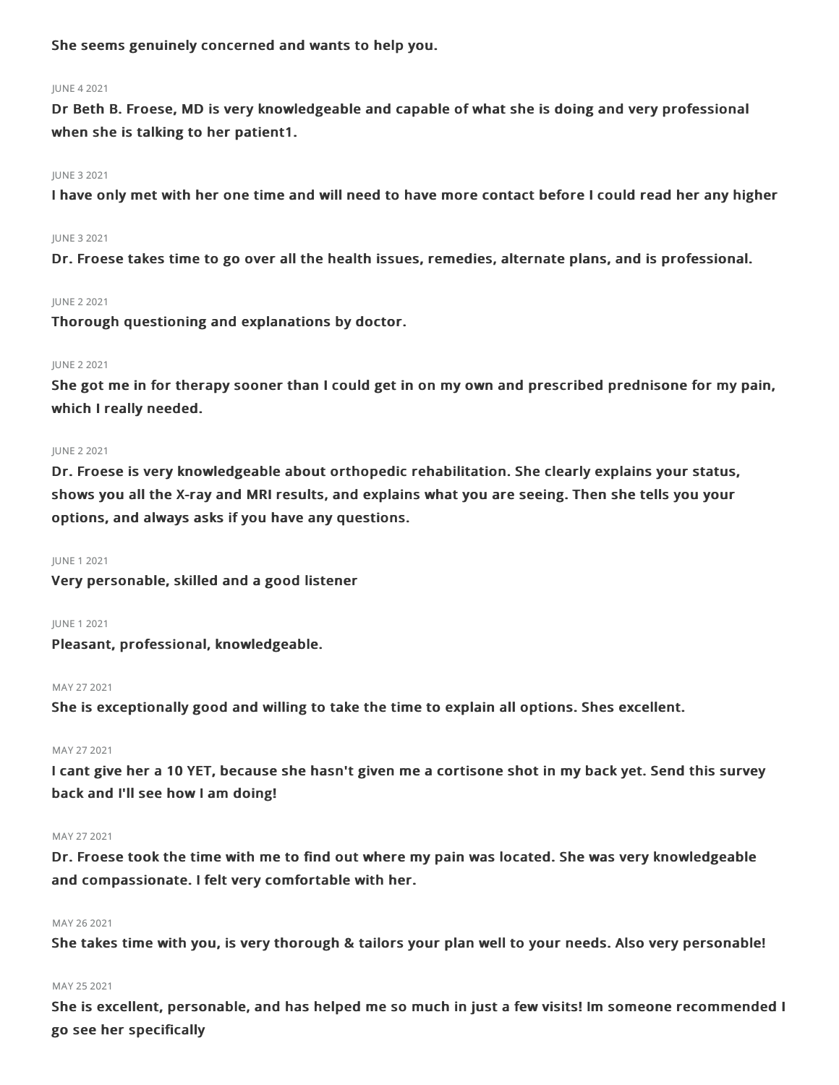She seems genuinely concerned and wants to help you.

### JUNE 42021

Dr Beth B. Froese, MD is very knowledgeable and capable of what she is doing and very professional when she is talking to her patient1.

### JUNE 32021

I have only met with her one time and will need to have more contact before I could read her any higher

### JUNE 32021

Dr. Froese takes time to go over all the health issues, remedies, alternate plans, and is professional.

### JUNE 22021

Thorough questioning and explanations by doctor.

### JUNE 22021

She got me in for therapy sooner than I could get in on my own and prescribed prednisone for my pain, which I really needed.

### JUNE 22021

Dr. Froese is very knowledgeable about orthopedic rehabilitation. She clearly explains your status, shows you all the X-ray and MRI results, and explains what you are seeing. Then she tells you your options, and always asks if you have any questions.

### JUNE 12021

Very personable, skilled and a good listener

### JUNE 12021

Pleasant, professional, knowledgeable.

### MAY 272021

She is exceptionally good and willing to take the time to explain all options. Shes excellent.

### MAY 272021

I cant give her a 10 YET, because she hasn't given me a cortisone shot in my back yet. Send this survey back and I'll see how I am doing!

### MAY 272021

Dr. Froese took the time with me to find out where my pain was located. She was very knowledgeable and compassionate. I felt very comfortable with her.

### MAY 26 2021

She takes time with you, is very thorough & tailors your plan well to your needs. Also very personable!

### MAY 25 2021

She is excellent, personable, and has helped me so much in just a few visits! Im someone recommended I go see her specifically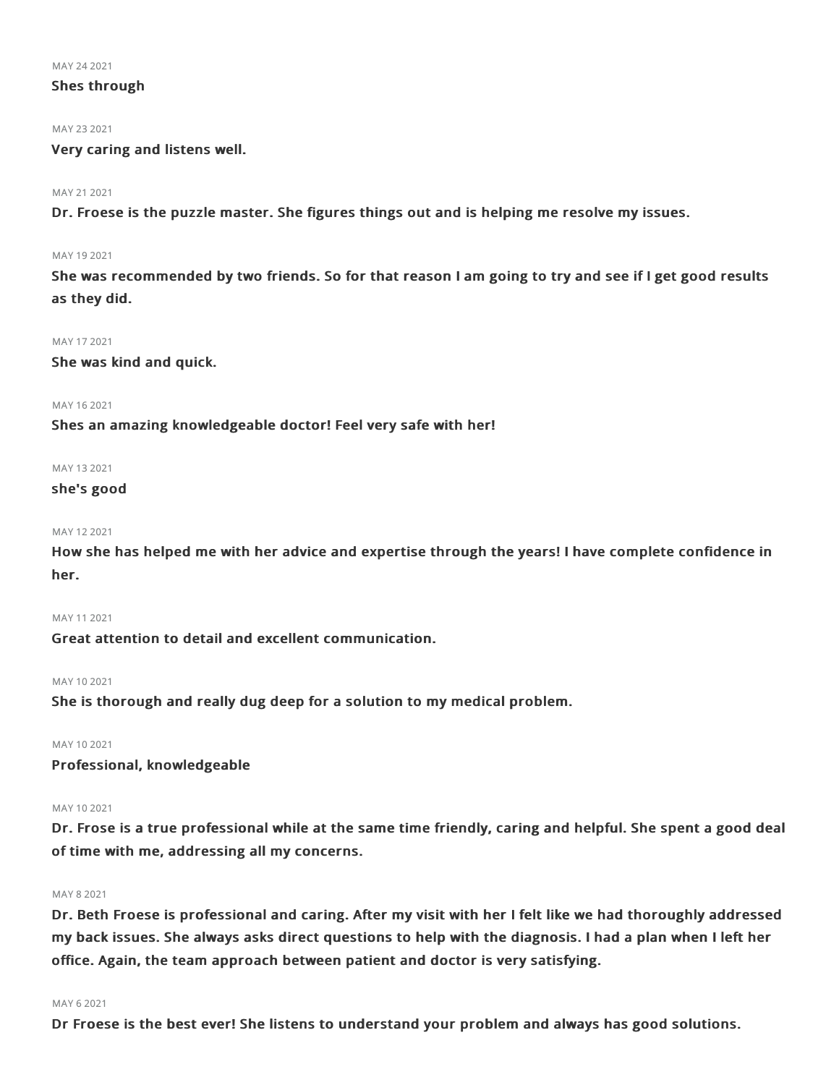MAY 242021

### Shes through

#### MAY 23 2021

Very caring and listens well.

### MAY 21 2021

Dr. Froese is the puzzle master. She figures things out and is helping me resolve my issues.

#### MAY 192021

She was recommended by two friends. So for that reason I am going to try and see if I get good results as they did.

### MAY 172021

She was kind and quick.

### MAY 162021

Shes an amazing knowledgeable doctor! Feel very safe with her!

### MAY 132021

### she's good

### MAY 122021

How she has helped me with her advice and expertise through the years! I have complete confidence in her.

```
MAY 112021
```
Great attention to detail and excellent communication.

### MAY 102021

She is thorough and really dug deep for a solution to my medical problem.

### MAY 102021

Professional, knowledgeable

### MAY 102021

Dr. Frose is a true professional while at the same time friendly, caring and helpful. She spent a good deal of time with me, addressing all my concerns.

### MAY 82021

Dr. Beth Froese is professional and caring. After my visit with her I felt like we had thoroughly addressed my back issues. She always asks direct questions to help with the diagnosis. I had a plan when I left her office. Again, the team approach between patient and doctor is very satisfying.

### MAY 62021

Dr Froese is the best ever! She listens to understand your problem and always has good solutions.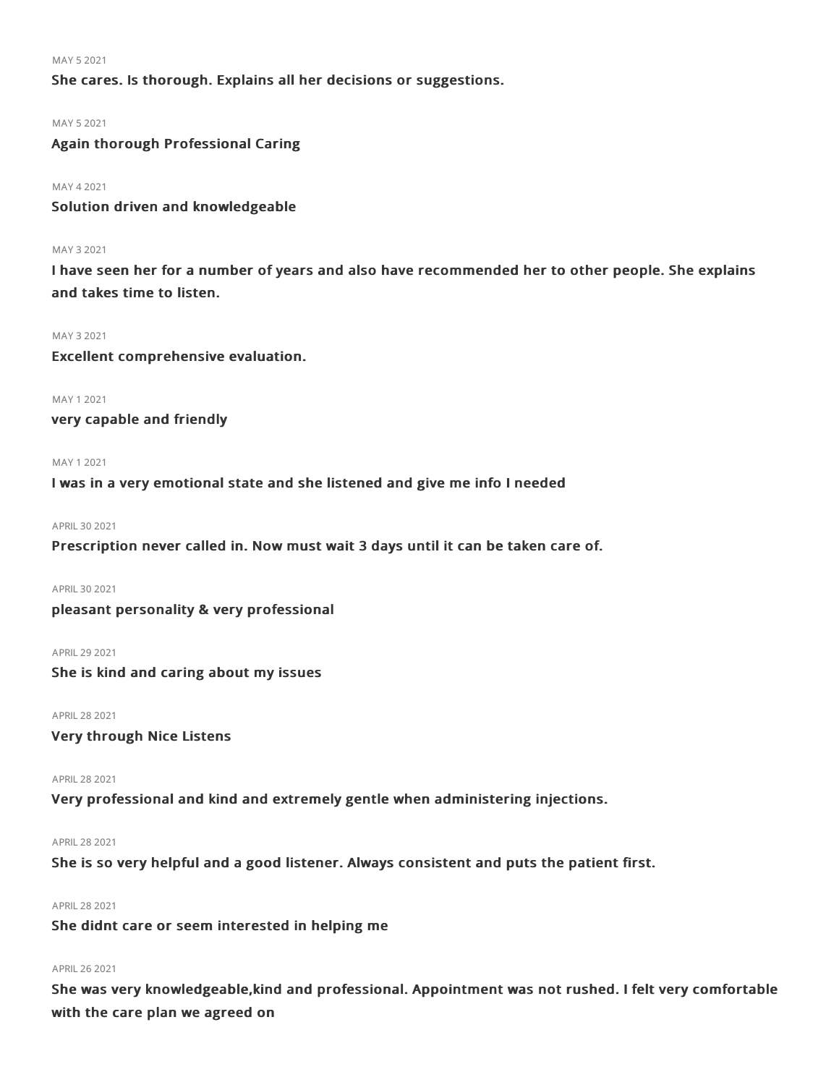MAY 52021

She cares. Is thorough. Explains all her decisions or suggestions.

MAY 52021

Again thorough Professional Caring

MAY 42021

Solution driven and knowledgeable

### MAY 32021

I have seen her for a number of years and also have recommended her to other people. She explains and takes time to listen.

### MAY 32021

Excellent comprehensive evaluation.

MAY 12021

very capable and friendly

#### MAY 12021

I was in a very emotional state and she listened and give me info I needed

APRIL 30 2021

Prescription never called in. Now must wait 3 days until it can be taken care of.

APRIL 30 2021

pleasant personality & very professional

APRIL292021

She is kind and caring about my issues

APRIL282021

Very through Nice Listens

APRIL282021

Very professional and kind and extremely gentle when administering injections.

### APRIL282021

She is so very helpful and a good listener. Always consistent and puts the patient first.

### APRIL282021

She didnt care or seem interested in helping me

### APRIL262021

She was very knowledgeable,kind and professional. Appointment was not rushed. I felt very comfortable with the care plan we agreed on